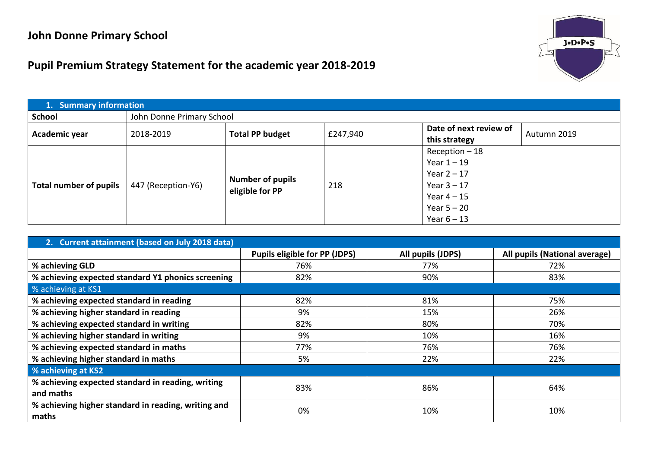## **John Donne Primary School**



## **Pupil Premium Strategy Statement for the academic year 2018-2019**

| 1. Summary information |                    |                                            |          |                        |             |  |  |
|------------------------|--------------------|--------------------------------------------|----------|------------------------|-------------|--|--|
| <b>School</b>          |                    | John Donne Primary School                  |          |                        |             |  |  |
| Academic year          | 2018-2019          | <b>Total PP budget</b>                     | £247,940 | Date of next review of | Autumn 2019 |  |  |
|                        |                    |                                            |          | this strategy          |             |  |  |
|                        | 447 (Reception-Y6) |                                            |          | $Reception - 18$       |             |  |  |
|                        |                    | <b>Number of pupils</b><br>eligible for PP |          | Year $1 - 19$          |             |  |  |
|                        |                    |                                            | 218      | Year $2 - 17$          |             |  |  |
| Total number of pupils |                    |                                            |          | Year $3 - 17$          |             |  |  |
|                        |                    |                                            |          | Year $4-15$            |             |  |  |
|                        |                    |                                            |          | Year $5 - 20$          |             |  |  |
|                        |                    |                                            |          | Year $6 - 13$          |             |  |  |

| 2. Current attainment (based on July 2018 data)                |                                      |                   |                               |  |  |  |  |
|----------------------------------------------------------------|--------------------------------------|-------------------|-------------------------------|--|--|--|--|
|                                                                | <b>Pupils eligible for PP (JDPS)</b> | All pupils (JDPS) | All pupils (National average) |  |  |  |  |
| % achieving GLD                                                | 76%                                  | 77%               | 72%                           |  |  |  |  |
| % achieving expected standard Y1 phonics screening             | 82%                                  | 90%               | 83%                           |  |  |  |  |
| % achieving at KS1                                             |                                      |                   |                               |  |  |  |  |
| % achieving expected standard in reading                       | 82%                                  | 81%               | 75%                           |  |  |  |  |
| % achieving higher standard in reading                         | 9%                                   | 15%               | 26%                           |  |  |  |  |
| % achieving expected standard in writing                       | 82%                                  | 80%               | 70%                           |  |  |  |  |
| % achieving higher standard in writing                         | 9%                                   | 10%               | 16%                           |  |  |  |  |
| % achieving expected standard in maths                         | 77%                                  | 76%               | 76%                           |  |  |  |  |
| % achieving higher standard in maths                           | 5%                                   | 22%               | 22%                           |  |  |  |  |
| % achieving at KS2                                             |                                      |                   |                               |  |  |  |  |
| % achieving expected standard in reading, writing<br>and maths | 83%                                  | 86%               | 64%                           |  |  |  |  |
| % achieving higher standard in reading, writing and<br>maths   | 0%                                   | 10%               | 10%                           |  |  |  |  |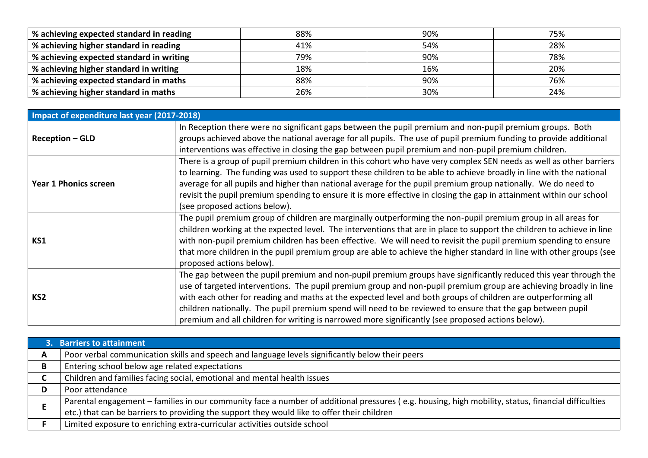| % achieving expected standard in reading | 88% | 90% | 75% |
|------------------------------------------|-----|-----|-----|
| % achieving higher standard in reading   | 41% | 54% | 28% |
| % achieving expected standard in writing | 79% | 90% | 78% |
| % achieving higher standard in writing   | 18% | 16% | 20% |
| % achieving expected standard in maths   | 88% | 90% | 76% |
| % achieving higher standard in maths     | 26% | 30% | 24% |

| Impact of expenditure last year (2017-2018) |                                                                                                                                                                                                                                                                                                                                                                                                                                                                                                                                                                         |
|---------------------------------------------|-------------------------------------------------------------------------------------------------------------------------------------------------------------------------------------------------------------------------------------------------------------------------------------------------------------------------------------------------------------------------------------------------------------------------------------------------------------------------------------------------------------------------------------------------------------------------|
| <b>Reception – GLD</b>                      | In Reception there were no significant gaps between the pupil premium and non-pupil premium groups. Both<br>groups achieved above the national average for all pupils. The use of pupil premium funding to provide additional<br>interventions was effective in closing the gap between pupil premium and non-pupil premium children.                                                                                                                                                                                                                                   |
| <b>Year 1 Phonics screen</b>                | There is a group of pupil premium children in this cohort who have very complex SEN needs as well as other barriers<br>to learning. The funding was used to support these children to be able to achieve broadly in line with the national<br>average for all pupils and higher than national average for the pupil premium group nationally. We do need to<br>revisit the pupil premium spending to ensure it is more effective in closing the gap in attainment within our school<br>(see proposed actions below).                                                    |
| KS1                                         | The pupil premium group of children are marginally outperforming the non-pupil premium group in all areas for<br>children working at the expected level. The interventions that are in place to support the children to achieve in line<br>with non-pupil premium children has been effective. We will need to revisit the pupil premium spending to ensure<br>that more children in the pupil premium group are able to achieve the higher standard in line with other groups (see<br>proposed actions below).                                                         |
| KS <sub>2</sub>                             | The gap between the pupil premium and non-pupil premium groups have significantly reduced this year through the<br>use of targeted interventions. The pupil premium group and non-pupil premium group are achieving broadly in line<br>with each other for reading and maths at the expected level and both groups of children are outperforming all<br>children nationally. The pupil premium spend will need to be reviewed to ensure that the gap between pupil<br>premium and all children for writing is narrowed more significantly (see proposed actions below). |

|   | 3. Barriers to attainment                                                                                                                                                                                                                         |
|---|---------------------------------------------------------------------------------------------------------------------------------------------------------------------------------------------------------------------------------------------------|
| A | Poor verbal communication skills and speech and language levels significantly below their peers                                                                                                                                                   |
| В | Entering school below age related expectations                                                                                                                                                                                                    |
| ◡ | Children and families facing social, emotional and mental health issues                                                                                                                                                                           |
| D | Poor attendance                                                                                                                                                                                                                                   |
|   | Parental engagement - families in our community face a number of additional pressures (e.g. housing, high mobility, status, financial difficulties<br>etc.) that can be barriers to providing the support they would like to offer their children |
|   | Limited exposure to enriching extra-curricular activities outside school                                                                                                                                                                          |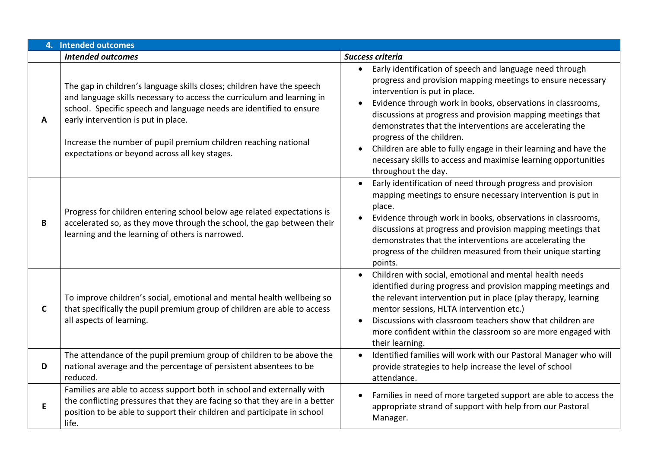|             | 4. Intended outcomes                                                                                                                                                                                                                                                                                                                                                               |                                                                                                                                                                                                                                                                                                                                                                                                                                                                                                                                                           |
|-------------|------------------------------------------------------------------------------------------------------------------------------------------------------------------------------------------------------------------------------------------------------------------------------------------------------------------------------------------------------------------------------------|-----------------------------------------------------------------------------------------------------------------------------------------------------------------------------------------------------------------------------------------------------------------------------------------------------------------------------------------------------------------------------------------------------------------------------------------------------------------------------------------------------------------------------------------------------------|
|             | <b>Intended outcomes</b>                                                                                                                                                                                                                                                                                                                                                           | Success criteria                                                                                                                                                                                                                                                                                                                                                                                                                                                                                                                                          |
| A           | The gap in children's language skills closes; children have the speech<br>and language skills necessary to access the curriculum and learning in<br>school. Specific speech and language needs are identified to ensure<br>early intervention is put in place.<br>Increase the number of pupil premium children reaching national<br>expectations or beyond across all key stages. | Early identification of speech and language need through<br>$\bullet$<br>progress and provision mapping meetings to ensure necessary<br>intervention is put in place.<br>Evidence through work in books, observations in classrooms,<br>discussions at progress and provision mapping meetings that<br>demonstrates that the interventions are accelerating the<br>progress of the children.<br>Children are able to fully engage in their learning and have the<br>necessary skills to access and maximise learning opportunities<br>throughout the day. |
| B           | Progress for children entering school below age related expectations is<br>accelerated so, as they move through the school, the gap between their<br>learning and the learning of others is narrowed.                                                                                                                                                                              | Early identification of need through progress and provision<br>$\bullet$<br>mapping meetings to ensure necessary intervention is put in<br>place.<br>Evidence through work in books, observations in classrooms,<br>discussions at progress and provision mapping meetings that<br>demonstrates that the interventions are accelerating the<br>progress of the children measured from their unique starting<br>points.                                                                                                                                    |
| $\mathbf C$ | To improve children's social, emotional and mental health wellbeing so<br>that specifically the pupil premium group of children are able to access<br>all aspects of learning.                                                                                                                                                                                                     | Children with social, emotional and mental health needs<br>identified during progress and provision mapping meetings and<br>the relevant intervention put in place (play therapy, learning<br>mentor sessions, HLTA intervention etc.)<br>Discussions with classroom teachers show that children are<br>more confident within the classroom so are more engaged with<br>their learning.                                                                                                                                                                   |
| D           | The attendance of the pupil premium group of children to be above the<br>national average and the percentage of persistent absentees to be<br>reduced.                                                                                                                                                                                                                             | Identified families will work with our Pastoral Manager who will<br>provide strategies to help increase the level of school<br>attendance.                                                                                                                                                                                                                                                                                                                                                                                                                |
| E           | Families are able to access support both in school and externally with<br>the conflicting pressures that they are facing so that they are in a better<br>position to be able to support their children and participate in school<br>life.                                                                                                                                          | Families in need of more targeted support are able to access the<br>appropriate strand of support with help from our Pastoral<br>Manager.                                                                                                                                                                                                                                                                                                                                                                                                                 |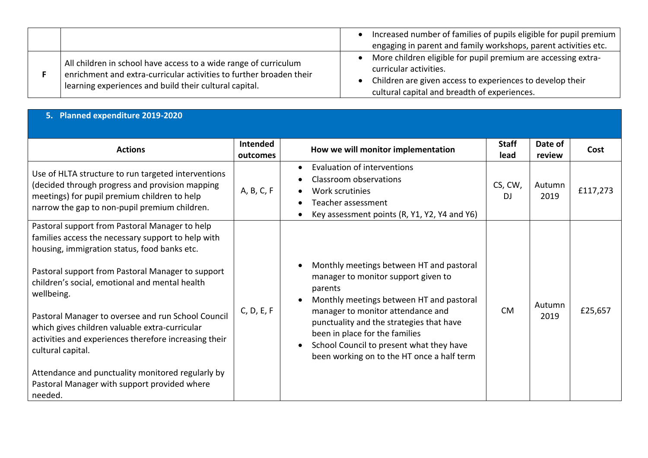|                                                                                                                                                                                                   | Increased number of families of pupils eligible for pupil premium<br>engaging in parent and family workshops, parent activities etc.                                                                 |
|---------------------------------------------------------------------------------------------------------------------------------------------------------------------------------------------------|------------------------------------------------------------------------------------------------------------------------------------------------------------------------------------------------------|
| All children in school have access to a wide range of curriculum<br>enrichment and extra-curricular activities to further broaden their<br>learning experiences and build their cultural capital. | More children eligible for pupil premium are accessing extra-<br>curricular activities.<br>Children are given access to experiences to develop their<br>cultural capital and breadth of experiences. |

## **5. Planned expenditure 2019-2020**

| <b>Actions</b>                                                                                                                                                                                          | Intended<br>outcomes | How we will monitor implementation                                                                                                                                                                                     | <b>Staff</b><br>lead | Date of<br>review | Cost     |
|---------------------------------------------------------------------------------------------------------------------------------------------------------------------------------------------------------|----------------------|------------------------------------------------------------------------------------------------------------------------------------------------------------------------------------------------------------------------|----------------------|-------------------|----------|
| Use of HLTA structure to run targeted interventions<br>(decided through progress and provision mapping<br>meetings) for pupil premium children to help<br>narrow the gap to non-pupil premium children. | A, B, C, F           | Evaluation of interventions<br>$\bullet$<br>Classroom observations<br>Work scrutinies<br>Teacher assessment<br>Key assessment points (R, Y1, Y2, Y4 and Y6)                                                            | CS, CW,<br>DI        | Autumn<br>2019    | £117,273 |
| Pastoral support from Pastoral Manager to help<br>families access the necessary support to help with<br>housing, immigration status, food banks etc.                                                    |                      |                                                                                                                                                                                                                        |                      |                   |          |
| Pastoral support from Pastoral Manager to support<br>children's social, emotional and mental health<br>wellbeing.                                                                                       |                      | Monthly meetings between HT and pastoral<br>manager to monitor support given to<br>parents<br>Monthly meetings between HT and pastoral<br>$\bullet$                                                                    |                      | Autumn            |          |
| Pastoral Manager to oversee and run School Council<br>which gives children valuable extra-curricular<br>activities and experiences therefore increasing their<br>cultural capital.                      | C, D, E, F           | manager to monitor attendance and<br>punctuality and the strategies that have<br>been in place for the families<br>School Council to present what they have<br>$\bullet$<br>been working on to the HT once a half term | <b>CM</b>            | 2019              | £25,657  |
| Attendance and punctuality monitored regularly by<br>Pastoral Manager with support provided where<br>needed.                                                                                            |                      |                                                                                                                                                                                                                        |                      |                   |          |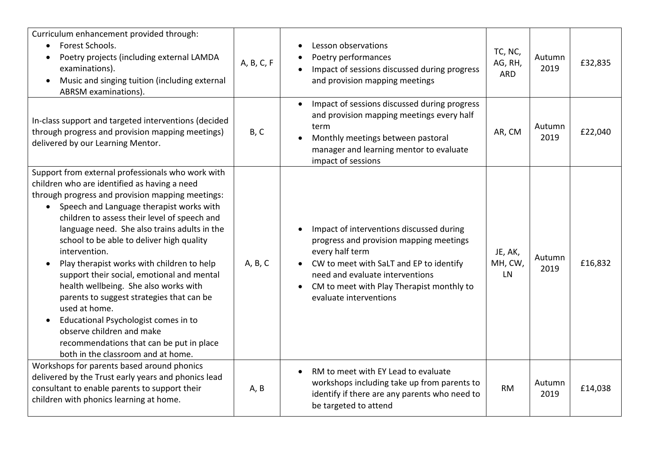| Curriculum enhancement provided through:<br>Forest Schools.<br>$\bullet$<br>Poetry projects (including external LAMDA<br>examinations).<br>Music and singing tuition (including external<br>$\bullet$<br>ABRSM examinations).                                                                                                                                                                                                                                                                                                                                                                                                                                                                                                                                    | A, B, C, F | Lesson observations<br>Poetry performances<br>Impact of sessions discussed during progress<br>and provision mapping meetings                                                                                                                                             | TC, NC,<br>AG, RH,<br><b>ARD</b> | Autumn<br>2019 | £32,835 |
|------------------------------------------------------------------------------------------------------------------------------------------------------------------------------------------------------------------------------------------------------------------------------------------------------------------------------------------------------------------------------------------------------------------------------------------------------------------------------------------------------------------------------------------------------------------------------------------------------------------------------------------------------------------------------------------------------------------------------------------------------------------|------------|--------------------------------------------------------------------------------------------------------------------------------------------------------------------------------------------------------------------------------------------------------------------------|----------------------------------|----------------|---------|
| In-class support and targeted interventions (decided<br>through progress and provision mapping meetings)<br>delivered by our Learning Mentor.                                                                                                                                                                                                                                                                                                                                                                                                                                                                                                                                                                                                                    | B, C       | Impact of sessions discussed during progress<br>$\bullet$<br>and provision mapping meetings every half<br>term<br>Monthly meetings between pastoral<br>$\bullet$<br>manager and learning mentor to evaluate<br>impact of sessions                                        | AR, CM                           | Autumn<br>2019 | £22,040 |
| Support from external professionals who work with<br>children who are identified as having a need<br>through progress and provision mapping meetings:<br>Speech and Language therapist works with<br>$\bullet$<br>children to assess their level of speech and<br>language need. She also trains adults in the<br>school to be able to deliver high quality<br>intervention.<br>Play therapist works with children to help<br>$\bullet$<br>support their social, emotional and mental<br>health wellbeing. She also works with<br>parents to suggest strategies that can be<br>used at home.<br>Educational Psychologist comes in to<br>$\bullet$<br>observe children and make<br>recommendations that can be put in place<br>both in the classroom and at home. | A, B, C    | Impact of interventions discussed during<br>progress and provision mapping meetings<br>every half term<br>CW to meet with SaLT and EP to identify<br>$\bullet$<br>need and evaluate interventions<br>CM to meet with Play Therapist monthly to<br>evaluate interventions | JE, AK,<br>MH, CW,<br><b>LN</b>  | Autumn<br>2019 | £16,832 |
| Workshops for parents based around phonics<br>delivered by the Trust early years and phonics lead<br>consultant to enable parents to support their<br>children with phonics learning at home.                                                                                                                                                                                                                                                                                                                                                                                                                                                                                                                                                                    | A, B       | RM to meet with EY Lead to evaluate<br>$\bullet$<br>workshops including take up from parents to<br>identify if there are any parents who need to<br>be targeted to attend                                                                                                | <b>RM</b>                        | Autumn<br>2019 | £14,038 |